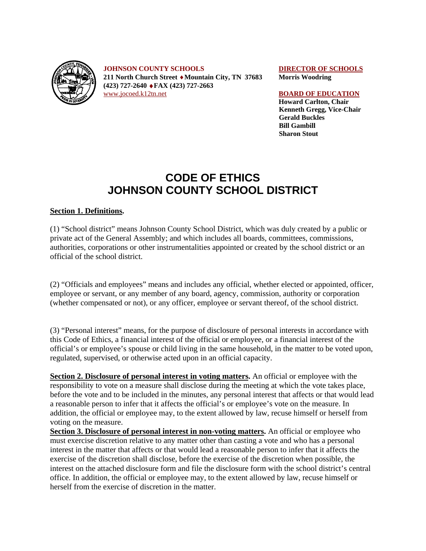

**JOHNSON COUNTY SCHOOLS** DIRECTOR OF SCHOOLS **211 North Church Street** ♦**Mountain City, TN 37683 Morris Woodring (423) 727-2640** ♦**FAX (423) 727-2663** [www.jocoed.k12tn.net](http://www.jocoed.k12tn.net/) **BOARD OF EDUCATION** 

 **Howard Carlton, Chair Kenneth Gregg, Vice-Chair Gerald Buckles Bill Gambill Sharon Stout** 

# **CODE OF ETHICS JOHNSON COUNTY SCHOOL DISTRICT**

## **Section 1. Definitions.**

(1) "School district" means Johnson County School District, which was duly created by a public or private act of the General Assembly; and which includes all boards, committees, commissions, authorities, corporations or other instrumentalities appointed or created by the school district or an official of the school district.

(2) "Officials and employees" means and includes any official, whether elected or appointed, officer, employee or servant, or any member of any board, agency, commission, authority or corporation (whether compensated or not), or any officer, employee or servant thereof, of the school district.

(3) "Personal interest" means, for the purpose of disclosure of personal interests in accordance with this Code of Ethics, a financial interest of the official or employee, or a financial interest of the official's or employee's spouse or child living in the same household, in the matter to be voted upon, regulated, supervised, or otherwise acted upon in an official capacity.

**Section 2. Disclosure of personal interest in voting matters.** An official or employee with the responsibility to vote on a measure shall disclose during the meeting at which the vote takes place, before the vote and to be included in the minutes, any personal interest that affects or that would lead a reasonable person to infer that it affects the official's or employee's vote on the measure. In addition, the official or employee may, to the extent allowed by law, recuse himself or herself from voting on the measure.

**Section 3. Disclosure of personal interest in non-voting matters.** An official or employee who must exercise discretion relative to any matter other than casting a vote and who has a personal interest in the matter that affects or that would lead a reasonable person to infer that it affects the exercise of the discretion shall disclose, before the exercise of the discretion when possible, the interest on the attached disclosure form and file the disclosure form with the school district's central office. In addition, the official or employee may, to the extent allowed by law, recuse himself or herself from the exercise of discretion in the matter.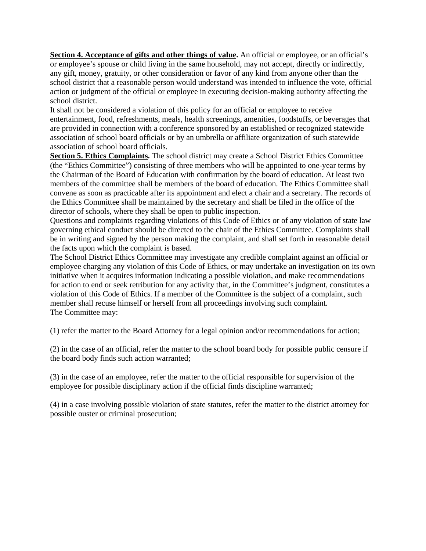**Section 4. Acceptance of gifts and other things of value.** An official or employee, or an official's or employee's spouse or child living in the same household, may not accept, directly or indirectly, any gift, money, gratuity, or other consideration or favor of any kind from anyone other than the school district that a reasonable person would understand was intended to influence the vote, official action or judgment of the official or employee in executing decision-making authority affecting the school district.

It shall not be considered a violation of this policy for an official or employee to receive entertainment, food, refreshments, meals, health screenings, amenities, foodstuffs, or beverages that are provided in connection with a conference sponsored by an established or recognized statewide association of school board officials or by an umbrella or affiliate organization of such statewide association of school board officials.

**Section 5. Ethics Complaints.** The school district may create a School District Ethics Committee (the "Ethics Committee") consisting of three members who will be appointed to one-year terms by the Chairman of the Board of Education with confirmation by the board of education. At least two members of the committee shall be members of the board of education. The Ethics Committee shall convene as soon as practicable after its appointment and elect a chair and a secretary. The records of the Ethics Committee shall be maintained by the secretary and shall be filed in the office of the director of schools, where they shall be open to public inspection.

Questions and complaints regarding violations of this Code of Ethics or of any violation of state law governing ethical conduct should be directed to the chair of the Ethics Committee. Complaints shall be in writing and signed by the person making the complaint, and shall set forth in reasonable detail the facts upon which the complaint is based.

The School District Ethics Committee may investigate any credible complaint against an official or employee charging any violation of this Code of Ethics, or may undertake an investigation on its own initiative when it acquires information indicating a possible violation, and make recommendations for action to end or seek retribution for any activity that, in the Committee's judgment, constitutes a violation of this Code of Ethics. If a member of the Committee is the subject of a complaint, such member shall recuse himself or herself from all proceedings involving such complaint. The Committee may:

(1) refer the matter to the Board Attorney for a legal opinion and/or recommendations for action;

(2) in the case of an official, refer the matter to the school board body for possible public censure if the board body finds such action warranted;

(3) in the case of an employee, refer the matter to the official responsible for supervision of the employee for possible disciplinary action if the official finds discipline warranted;

(4) in a case involving possible violation of state statutes, refer the matter to the district attorney for possible ouster or criminal prosecution;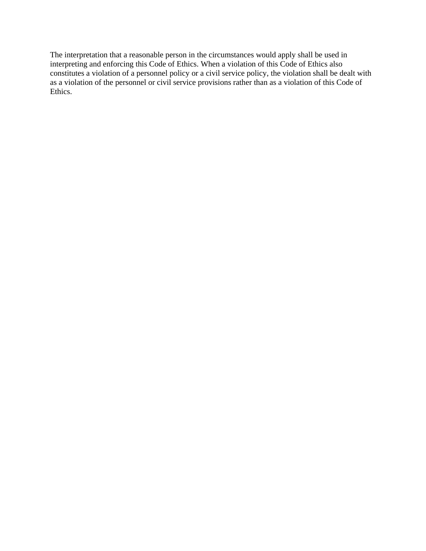The interpretation that a reasonable person in the circumstances would apply shall be used in interpreting and enforcing this Code of Ethics. When a violation of this Code of Ethics also constitutes a violation of a personnel policy or a civil service policy, the violation shall be dealt with as a violation of the personnel or civil service provisions rather than as a violation of this Code of Ethics.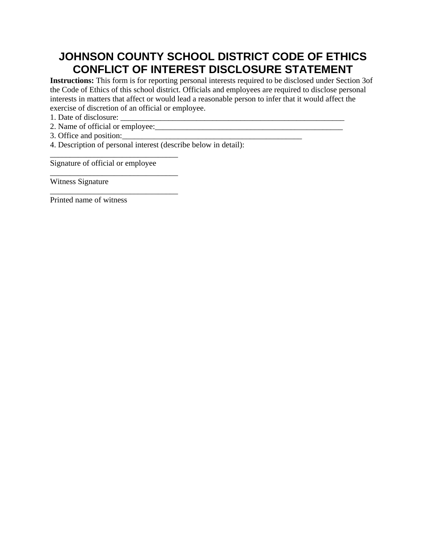# **JOHNSON COUNTY SCHOOL DISTRICT CODE OF ETHICS CONFLICT OF INTEREST DISCLOSURE STATEMENT**

**Instructions:** This form is for reporting personal interests required to be disclosed under Section 3of the Code of Ethics of this school district. Officials and employees are required to disclose personal interests in matters that affect or would lead a reasonable person to infer that it would affect the exercise of discretion of an official or employee.

- 1. Date of disclosure:
- 2. Name of official or employee:
- 3. Office and position:\_\_\_\_\_\_\_\_\_\_\_\_\_\_\_\_\_\_\_\_\_\_\_\_\_\_\_\_\_\_\_\_\_\_\_\_\_\_\_\_\_\_\_\_\_
- 4. Description of personal interest (describe below in detail):

Signature of official or employee

\_\_\_\_\_\_\_\_\_\_\_\_\_\_\_\_\_\_\_\_\_\_\_\_\_\_\_\_\_\_\_\_

\_\_\_\_\_\_\_\_\_\_\_\_\_\_\_\_\_\_\_\_\_\_\_\_\_\_\_\_\_\_\_\_

\_\_\_\_\_\_\_\_\_\_\_\_\_\_\_\_\_\_\_\_\_\_\_\_\_\_\_\_\_\_\_\_

Witness Signature

Printed name of witness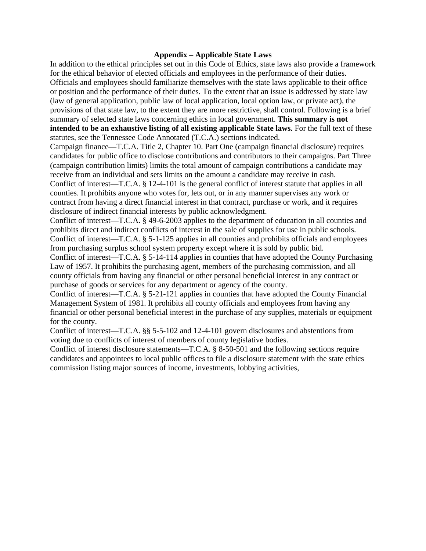### **Appendix – Applicable State Laws**

In addition to the ethical principles set out in this Code of Ethics, state laws also provide a framework for the ethical behavior of elected officials and employees in the performance of their duties. Officials and employees should familiarize themselves with the state laws applicable to their office or position and the performance of their duties. To the extent that an issue is addressed by state law (law of general application, public law of local application, local option law, or private act), the provisions of that state law, to the extent they are more restrictive, shall control. Following is a brief summary of selected state laws concerning ethics in local government. **This summary is not intended to be an exhaustive listing of all existing applicable State laws.** For the full text of these statutes, see the Tennessee Code Annotated (T.C.A.) sections indicated.

Campaign finance—T.C.A. Title 2, Chapter 10. Part One (campaign financial disclosure) requires candidates for public office to disclose contributions and contributors to their campaigns. Part Three (campaign contribution limits) limits the total amount of campaign contributions a candidate may receive from an individual and sets limits on the amount a candidate may receive in cash. Conflict of interest—T.C.A. § 12-4-101 is the general conflict of interest statute that applies in all counties. It prohibits anyone who votes for, lets out, or in any manner supervises any work or contract from having a direct financial interest in that contract, purchase or work, and it requires disclosure of indirect financial interests by public acknowledgment.

Conflict of interest—T.C.A. § 49-6-2003 applies to the department of education in all counties and prohibits direct and indirect conflicts of interest in the sale of supplies for use in public schools. Conflict of interest—T.C.A. § 5-1-125 applies in all counties and prohibits officials and employees from purchasing surplus school system property except where it is sold by public bid.

Conflict of interest—T.C.A. § 5-14-114 applies in counties that have adopted the County Purchasing Law of 1957. It prohibits the purchasing agent, members of the purchasing commission, and all county officials from having any financial or other personal beneficial interest in any contract or purchase of goods or services for any department or agency of the county.

Conflict of interest—T.C.A. § 5-21-121 applies in counties that have adopted the County Financial Management System of 1981. It prohibits all county officials and employees from having any financial or other personal beneficial interest in the purchase of any supplies, materials or equipment for the county.

Conflict of interest—T.C.A. §§ 5-5-102 and 12-4-101 govern disclosures and abstentions from voting due to conflicts of interest of members of county legislative bodies.

Conflict of interest disclosure statements—T.C.A. § 8-50-501 and the following sections require candidates and appointees to local public offices to file a disclosure statement with the state ethics commission listing major sources of income, investments, lobbying activities,